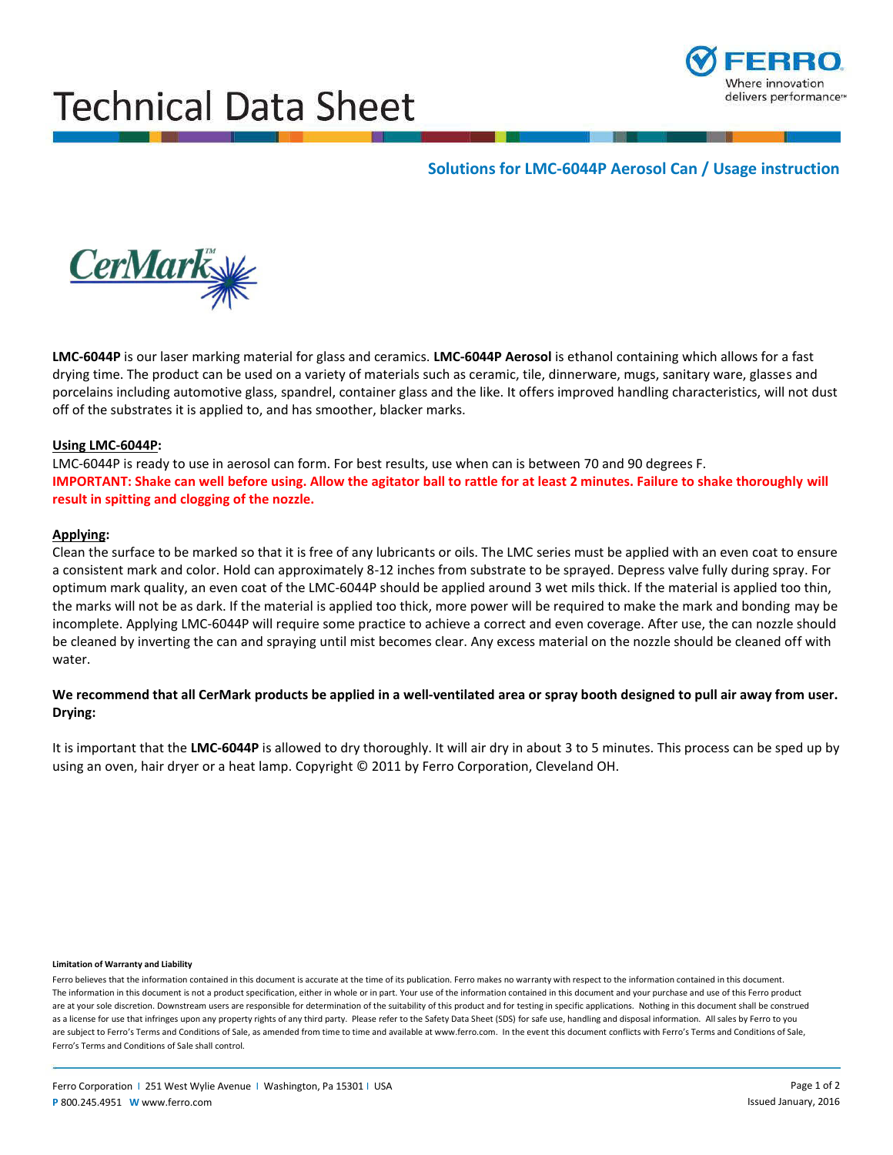# Technical Data Sheet



## **Solutions for LMC-6044P Aerosol Can / Usage instruction**



**LMC-6044P** is our laser marking material for glass and ceramics. **LMC-6044P Aerosol** is ethanol containing which allows for a fast drying time. The product can be used on a variety of materials such as ceramic, tile, dinnerware, mugs, sanitary ware, glasses and porcelains including automotive glass, spandrel, container glass and the like. It offers improved handling characteristics, will not dust off of the substrates it is applied to, and has smoother, blacker marks.

## **Using LMC-6044P:**

 **IMPORTANT: Shake can well before using. Allow the agitator ball to rattle for at least 2 minutes. Failure to shake thoroughly will**  LMC-6044P is ready to use in aerosol can form. For best results, use when can is between 70 and 90 degrees F. **result in spitting and clogging of the nozzle.** 

## **Applying:**

 the marks will not be as dark. If the material is applied too thick, more power will be required to make the mark and bonding may be Clean the surface to be marked so that it is free of any lubricants or oils. The LMC series must be applied with an even coat to ensure a consistent mark and color. Hold can approximately 8-12 inches from substrate to be sprayed. Depress valve fully during spray. For optimum mark quality, an even coat of the LMC-6044P should be applied around 3 wet mils thick. If the material is applied too thin, incomplete. Applying LMC-6044P will require some practice to achieve a correct and even coverage. After use, the can nozzle should be cleaned by inverting the can and spraying until mist becomes clear. Any excess material on the nozzle should be cleaned off with water.

## **We recommend that all CerMark products be applied in a well-ventilated area or spray booth designed to pull air away from user. Drying:**

 It is important that the **LMC-6044P** is allowed to dry thoroughly. It will air dry in about 3 to 5 minutes. This process can be sped up by using an oven, hair dryer or a heat lamp. Copyright © 2011 by Ferro Corporation, Cleveland OH.

#### **Limitation of Warranty and Liability**

Ferro believes that the information contained in this document is accurate at the time of its publication. Ferro makes no warranty with respect to the information contained in this document. The information in this document is not a product specification, either in whole or in part. Your use of the information contained in this document and your purchase and use of this Ferro product are at your sole discretion. Downstream users are responsible for determination of the suitability of this product and for testing in specific applications. Nothing in this document shall be construed as a license for use that infringes upon any property rights of any third party. Please refer to the Safety Data Sheet (SDS) for safe use, handling and disposal information. All sales by Ferro to you are subject to Ferro's Terms and Conditions of Sale, as amended from time to time and available at www.ferro.com. In the event this document conflicts with Ferro's Terms and Conditions of Sale, Ferro's Terms and Conditions of Sale shall control.